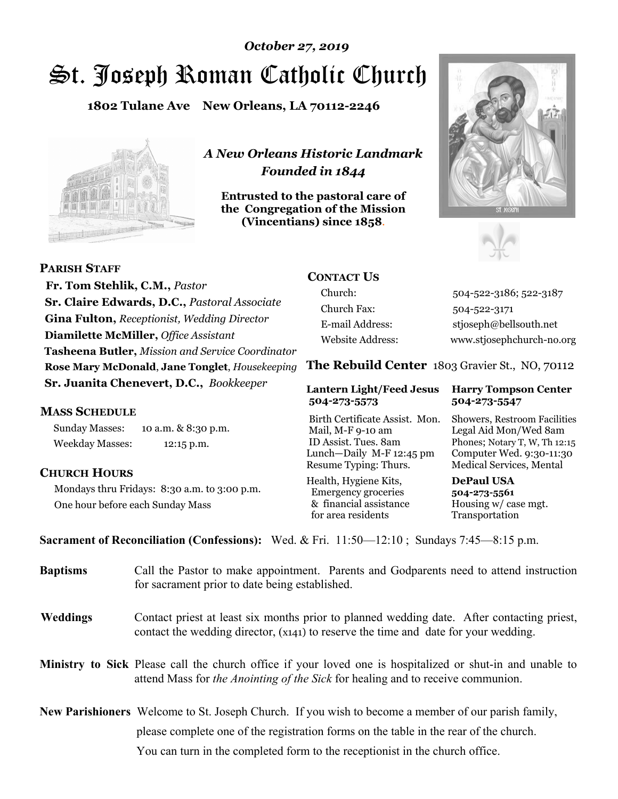# St. Joseph Roman Catholic Church *October 27, 2019*

**1802 Tulane Ave New Orleans, LA 70112-2246**



*A New Orleans Historic Landmark Founded in 1844* 

**Entrusted to the pastoral care of the Congregation of the Mission (Vincentians) since 1858**.





 **Fr. Tom Stehlik, C.M.,** *Pastor* **Sr. Claire Edwards, D.C.,** *Pastoral Associate* **Gina Fulton,** *Receptionist, Wedding Director* **Diamilette McMiller,** *Office Assistant* **Tasheena Butler,** *Mission and Service Coordinator* **Rose Mary McDonald**, **Jane Tonglet**, *Housekeeping* **Sr. Juanita Chenevert, D.C.,** *Bookkeeper* 

#### **MASS SCHEDULE**

**PARISH STAFF**

Sunday Masses: 10 a.m. & 8:30 p.m. Weekday Masses: 12:15 p.m.

#### **CHURCH HOURS**

Mondays thru Fridays: 8:30 a.m. to 3:00 p.m. One hour before each Sunday Mass

# **CONTACT US**

Church: 504-522-3186; 522-3187 Church Fax: 504-522-3171 E-mail Address: stjoseph@bellsouth.net Website Address: www.stjosephchurch-no.org

**The Rebuild Center** 1803 Gravier St., NO, 70112

#### **Lantern Light/Feed Jesus Harry Tompson Center 504-273-5573 504-273-5547**

Birth Certificate Assist. Mon. Showers, Restroom Facilities Mail, M-F 9-10 am Legal Aid Mon/Wed 8am ID Assist. Tues. 8am Phones; Notary T, W, Th 12:15 Lunch—Daily M-F 12:45 pm Computer Wed. 9:30-11:30 Resume Typing: Thurs. Medical Services, Mental

Health, Hygiene Kits, **DePaul USA**  Emergency groceries **504-273-5561** & financial assistance Housing w/ case mgt.<br>for area residents Transportation for area residents

**Sacrament of Reconciliation (Confessions):** Wed. & Fri. 11:50—12:10 ; Sundays 7:45—8:15 p.m.

| <b>Baptisms</b> | Call the Pastor to make appointment. Parents and Godparents need to attend instruction<br>for sacrament prior to date being established.                                                            |  |
|-----------------|-----------------------------------------------------------------------------------------------------------------------------------------------------------------------------------------------------|--|
| <b>Weddings</b> | Contact priest at least six months prior to planned wedding date. After contacting priest,<br>contact the wedding director, (x141) to reserve the time and date for your wedding.                   |  |
|                 | <b>Ministry to Sick</b> Please call the church office if your loved one is hospitalized or shut-in and unable to<br>attend Mass for the Anointing of the Sick for healing and to receive communion. |  |
|                 | <b>New Parishioners</b> Welcome to St. Joseph Church. If you wish to become a member of our parish family,                                                                                          |  |
|                 | please complete one of the registration forms on the table in the rear of the church.                                                                                                               |  |
|                 | You can turn in the completed form to the reception is the church office.                                                                                                                           |  |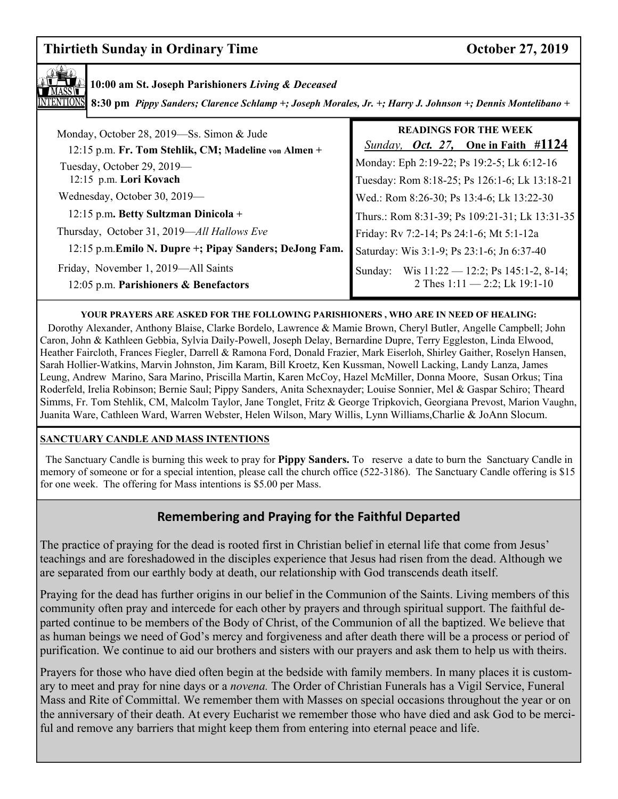# **Thirtieth Sunday in Ordinary Time Conserversity Conserversity Conserversity Conserversity Conserversity Conserversity Conserversity Conserversity Conserversity Conserversity Conserversity Conserversity Conserversity Conse**



### **10:00 am St. Joseph Parishioners** *Living & Deceased*

**8:30 pm** *Pippy Sanders; Clarence Schlamp +; Joseph Morales, Jr. +; Harry J. Johnson +; Dennis Montelibano +*

| Monday, October 28, 2019-Ss. Simon & Jude<br>12:15 p.m. Fr. Tom Stehlik, CM; Madeline von Almen + | <b>READINGS FOR THE WEEK</b><br><i>Sunday, Oct. 27,</i> One in Faith #1124                  |
|---------------------------------------------------------------------------------------------------|---------------------------------------------------------------------------------------------|
| Tuesday, October 29, 2019—<br>12:15 p.m. Lori Kovach                                              | Monday: Eph 2:19-22; Ps 19:2-5; Lk 6:12-16<br>Tuesday: Rom 8:18-25; Ps 126:1-6; Lk 13:18-21 |
| Wednesday, October 30, 2019-                                                                      | Wed.: Rom 8:26-30; Ps 13:4-6; Lk 13:22-30                                                   |
| 12:15 p.m. Betty Sultzman Dinicola +                                                              | Thurs.: Rom 8:31-39; Ps 109:21-31; Lk 13:31-35                                              |
| Thursday, October 31, 2019—All Hallows Eve                                                        | Friday: Rv 7:2-14; Ps 24:1-6; Mt 5:1-12a                                                    |
| 12:15 p.m. Emilo N. Dupre +; Pipay Sanders; DeJong Fam.                                           | Saturday: Wis 3:1-9; Ps 23:1-6; Jn 6:37-40                                                  |
| Friday, November 1, 2019—All Saints<br>12:05 p.m. Parishioners & Benefactors                      | Wis $11:22 - 12:2$ ; Ps 145:1-2, 8-14;<br>Sunday:<br>2 Thes $1:11 - 2:2$ ; Lk 19:1-10       |

#### **YOUR PRAYERS ARE ASKED FOR THE FOLLOWING PARISHIONERS , WHO ARE IN NEED OF HEALING:**

 Dorothy Alexander, Anthony Blaise, Clarke Bordelo, Lawrence & Mamie Brown, Cheryl Butler, Angelle Campbell; John Caron, John & Kathleen Gebbia, Sylvia Daily-Powell, Joseph Delay, Bernardine Dupre, Terry Eggleston, Linda Elwood, Heather Faircloth, Frances Fiegler, Darrell & Ramona Ford, Donald Frazier, Mark Eiserloh, Shirley Gaither, Roselyn Hansen, Sarah Hollier-Watkins, Marvin Johnston, Jim Karam, Bill Kroetz, Ken Kussman, Nowell Lacking, Landy Lanza, James Leung, Andrew Marino, Sara Marino, Priscilla Martin, Karen McCoy, Hazel McMiller, Donna Moore, Susan Orkus; Tina Roderfeld, Irelia Robinson; Bernie Saul; Pippy Sanders, Anita Schexnayder; Louise Sonnier, Mel & Gaspar Schiro; Theard Simms, Fr. Tom Stehlik, CM, Malcolm Taylor, Jane Tonglet, Fritz & George Tripkovich, Georgiana Prevost, Marion Vaughn, Juanita Ware, Cathleen Ward, Warren Webster, Helen Wilson, Mary Willis, Lynn Williams,Charlie & JoAnn Slocum.

#### **SANCTUARY CANDLE AND MASS INTENTIONS**

 The Sanctuary Candle is burning this week to pray for **Pippy Sanders.** To reserve a date to burn the Sanctuary Candle in memory of someone or for a special intention, please call the church office (522-3186). The Sanctuary Candle offering is \$15 for one week. The offering for Mass intentions is \$5.00 per Mass.

# **Remembering and Praying for the Faithful Departed**

The practice of praying for the dead is rooted first in Christian belief in eternal life that come from Jesus' teachings and are foreshadowed in the disciples experience that Jesus had risen from the dead. Although we are separated from our earthly body at death, our relationship with God transcends death itself.

Praying for the dead has further origins in our belief in the Communion of the Saints. Living members of this community often pray and intercede for each other by prayers and through spiritual support. The faithful departed continue to be members of the Body of Christ, of the Communion of all the baptized. We believe that as human beings we need of God's mercy and forgiveness and after death there will be a process or period of purification. We continue to aid our brothers and sisters with our prayers and ask them to help us with theirs.

Prayers for those who have died often begin at the bedside with family members. In many places it is customary to meet and pray for nine days or a *novena.* The Order of Christian Funerals has a Vigil Service, Funeral Mass and Rite of Committal. We remember them with Masses on special occasions throughout the year or on the anniversary of their death. At every Eucharist we remember those who have died and ask God to be merciful and remove any barriers that might keep them from entering into eternal peace and life.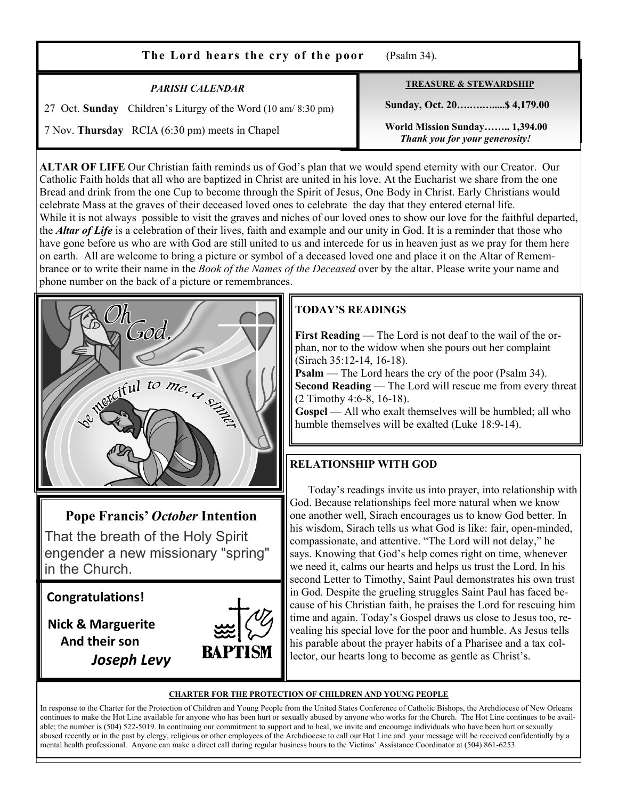| The Lord hears the cry of the poor                                                                              | (Psalm 34).                                                     |
|-----------------------------------------------------------------------------------------------------------------|-----------------------------------------------------------------|
| <b>PARISH CALENDAR</b>                                                                                          | <b>TREASURE &amp; STEWARDSHIP</b><br>Sunday, Oct. 20 \$4,179.00 |
| 27 Oct. Sunday Children's Liturgy of the Word (10 am/8:30 pm)<br>7 Nov. Thursday RCIA (6:30 pm) meets in Chapel | World Mission Sunday 1,394.00<br>Thank you for your generosity! |

**ALTAR OF LIFE** Our Christian faith reminds us of God's plan that we would spend eternity with our Creator. Our Catholic Faith holds that all who are baptized in Christ are united in his love. At the Eucharist we share from the one Bread and drink from the one Cup to become through the Spirit of Jesus, One Body in Christ. Early Christians would celebrate Mass at the graves of their deceased loved ones to celebrate the day that they entered eternal life. While it is not always possible to visit the graves and niches of our loved ones to show our love for the faithful departed, the *Altar of Life* is a celebration of their lives, faith and example and our unity in God. It is a reminder that those who have gone before us who are with God are still united to us and intercede for us in heaven just as we pray for them here on earth. All are welcome to bring a picture or symbol of a deceased loved one and place it on the Altar of Remembrance or to write their name in the *Book of the Names of the Deceased* over by the altar. Please write your name and phone number on the back of a picture or remembrances.

# **TODAY'S READINGS**

**First Reading** — The Lord is not deaf to the wail of the orphan, nor to the widow when she pours out her complaint (Sirach 35:12-14, 16-18).

**Psalm** — The Lord hears the cry of the poor (Psalm 34). **Second Reading** — The Lord will rescue me from every threat (2 Timothy 4:6-8, 16-18).

**Gospel** — All who exalt themselves will be humbled; all who humble themselves will be exalted (Luke 18:9-14).

# **RELATIONSHIP WITH GOD**

 Today's readings invite us into prayer, into relationship with God. Because relationships feel more natural when we know one another well, Sirach encourages us to know God better. In his wisdom, Sirach tells us what God is like: fair, open-minded, compassionate, and attentive. "The Lord will not delay," he says. Knowing that God's help comes right on time, whenever we need it, calms our hearts and helps us trust the Lord. In his second Letter to Timothy, Saint Paul demonstrates his own trust in God. Despite the grueling struggles Saint Paul has faced because of his Christian faith, he praises the Lord for rescuing him time and again. Today's Gospel draws us close to Jesus too, revealing his special love for the poor and humble. As Jesus tells his parable about the prayer habits of a Pharisee and a tax collector, our hearts long to become as gentle as Christ's.

#### **CHARTER FOR THE PROTECTION OF CHILDREN AND YOUNG PEOPLE**

In response to the Charter for the Protection of Children and Young People from the United States Conference of Catholic Bishops, the Archdiocese of New Orleans continues to make the Hot Line available for anyone who has been hurt or sexually abused by anyone who works for the Church. The Hot Line continues to be available; the number is (504) 522-5019. In continuing our commitment to support and to heal, we invite and encourage individuals who have been hurt or sexually abused recently or in the past by clergy, religious or other employees of the Archdiocese to call our Hot Line and your message will be received confidentially by a mental health professional. Anyone can make a direct call during regular business hours to the Victims' Assistance Coordinator at (504) 861-6253.

# **Pope Francis'** *October* **Intention**

God

Netclful to me, a size

That the breath of the Holy Spirit engender a new missionary "spring" in the Church.

**Congratulations!** 

 **Nick & Marguerite And their son** *Joseph Levy*